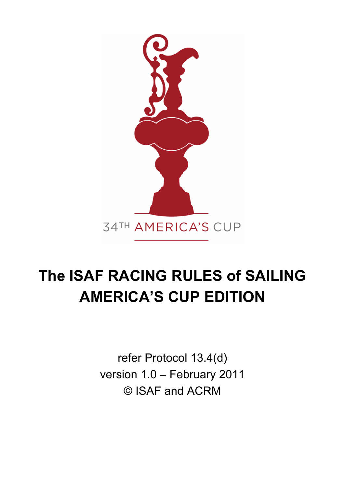

# **The ISAF RACING RULES of SAILING AMERICA'S CUP EDITION**

refer Protocol 13.4(d) version 1.0 – February 2011 © ISAF and ACRM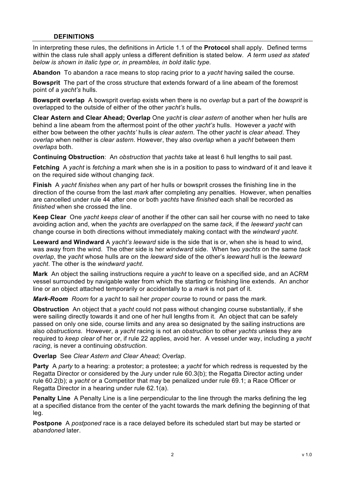#### **DEFINITIONS**

In interpreting these rules, the definitions in Article 1.1 of the **Protocol** shall apply. Defined terms within the class rule shall apply unless a different definition is stated below. *A term used as stated below is shown in italic type or, in preambles, in bold italic type.* 

**Abandon** To abandon a race means to stop racing prior to a *yacht* having sailed the course.

**Bowsprit** The part of the cross structure that extends forward of a line abeam of the foremost point of a *yacht's* hulls.

**Bowsprit overlap** A bowsprit overlap exists when there is no *overlap* but a part of the *bowsprit* is overlapped to the outside of either of the other *yacht's* hulls**.**

**Clear Astern and Clear Ahead; Overlap** One *yacht* is *clear astern* of another when her hulls are behind a line abeam from the aftermost point of the other *yacht's* hulls. However a *yacht* with either bow between the other *yachts'* hulls is *clear astern*. The other *yacht* is *clear ahead*. They *overlap* when neither is *clear astern*. However, they also *overlap* when a *yacht* between them *overlaps* both.

**Continuing Obstruction**: An *obstruction* that *yachts* take at least 6 hull lengths to sail past.

**Fetching**A *yacht* is *fetching* a *mark* when she is in a position to pass to windward of it and leave it on the required side without changing *tack*.

**Finish** A *yacht finishes* when any part of her hulls or bowsprit crosses the finishing line in the direction of the course from the last *mark* after completing any penalties. However, when penalties are cancelled under rule 44 after one or both *yachts* have *finished* each shall be recorded as *finished* when she crossed the line.

**Keep Clear** One *yacht keeps clear* of another if the other can sail her course with no need to take avoiding action and, when the *yachts* are *overlapped* on the same *tack*, if the *leeward yacht* can change course in both directions without immediately making contact with the *windward yacht*.

**Leeward and Windward** A *yacht's leeward* side is the side that is or, when she is head to wind, was away from the wind. The other side is her *windward* side. When two *yachts* on the same *tack overlap*, the *yacht* whose hulls are on the *leeward* side of the other's *leeward* hull is the *leeward yacht*. The other is the *windward yacht*.

**Mark** An object the sailing instructions require a *yacht* to leave on a specified side, and an ACRM vessel surrounded by navigable water from which the starting or finishing line extends. An anchor line or an object attached temporarily or accidentally to a *mark* is not part of it.

*Mark-Room Room* for a *yacht* to sail her *proper course* to round or pass the *mark*.

**Obstruction** An object that a *yacht* could not pass without changing course substantially, if she were sailing directly towards it and one of her hull lengths from it. An object that can be safely passed on only one side, course limits and any area so designated by the sailing instructions are also *obstructions*. However, a *yacht* racing is not an *obstruction* to other *yachts* unless they are required to *keep clear* of her or, if rule 22 applies, avoid her.A vessel under way, including a *yacht racing*, is never a continuing *obstruction*.

**Overlap** See *Clear Astern and Clear Ahead; Overlap*.

**Party** A *party* to a hearing: a protestor; a protestee; a *yacht* for which redress is requested by the Regatta Director or considered by the Jury under rule 60.3(b); the Regatta Director acting under rule 60.2(b); a *yacht* or a Competitor that may be penalized under rule 69.1; a Race Officer or Regatta Director in a hearing under rule 62.1(a).

**Penalty Line** A Penalty Line is a line perpendicular to the line through the marks defining the leg at a specified distance from the center of the yacht towards the mark defining the beginning of that leg.

**Postpone** A *postponed* race is a race delayed before its scheduled start but may be started or *abandoned* later.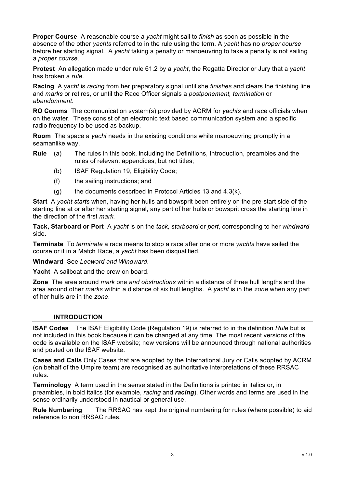**Proper Course** A reasonable course a *yacht* might sail to *finish* as soon as possible in the absence of the other *yachts* referred to in the rule using the term. A *yacht* has no *proper course* before her starting signal. A *yacht* taking a penalty or manoeuvring to take a penalty is not sailing a *proper course.*

**Protest** An allegation made under rule 61.2 by a *yacht*, the Regatta Director or Jury that a *yacht* has broken a *rule*.

**Racing** A *yacht* is *racing* from her preparatory signal until she *finishes* and clears the finishing line and *marks* or retires, or until the Race Officer signals a *postponement, termination* or *abandonment*.

**RO Comms** The communication system(s) provided by ACRM for *yachts* and race officials when on the water. These consist of an electronic text based communication system and a specific radio frequency to be used as backup.

**Room** The space a *yacht* needs in the existing conditions while manoeuvring promptly in a seamanlike way.

- **Rule** (a) The rules in this book, including the Definitions, Introduction, preambles and the rules of relevant appendices, but not titles;
	- (b) ISAF Regulation 19, Eligibility Code;
	- (f) the sailing instructions; and
	- $(q)$  the documents described in Protocol Articles 13 and 4.3(k).

**Start** A *yacht starts* when, having her hulls and bowsprit been entirely on the pre-start side of the starting line at or after her starting signal, any part of her hulls or bowsprit cross the starting line in the direction of the first *mark.*

**Tack, Starboard or Port** A *yacht* is on the *tack, starboard* or *port*, corresponding to her *windward* side.

**Terminate** To *terminate* a race means to stop a race after one or more *yachts* have sailed the course or if in a Match Race, a *yacht* has been disqualified.

**Windward** See *Leeward and Windward*.

**Yacht** A sailboat and the crew on board.

**Zone** The area around *mark* one *and obstructions* within a distance of three hull lengths and the area around other *marks* within a distance of six hull lengths. A *yacht* is in the *zone* when any part of her hulls are in the *zone*.

#### **INTRODUCTION**

**ISAF Codes** The ISAF Eligibility Code (Regulation 19) is referred to in the definition *Rule* but is not included in this book because it can be changed at any time. The most recent versions of the code is available on the ISAF website; new versions will be announced through national authorities and posted on the ISAF website.

**Cases and Calls** Only Cases that are adopted by the International Jury or Calls adopted by ACRM (on behalf of the Umpire team) are recognised as authoritative interpretations of these RRSAC rules.

**Terminology** A term used in the sense stated in the Definitions is printed in italics or, in preambles, in bold italics (for example, *racing* and *racing*). Other words and terms are used in the sense ordinarily understood in nautical or general use.

**Rule Numbering** The RRSAC has kept the original numbering for rules (where possible) to aid reference to non RRSAC rules.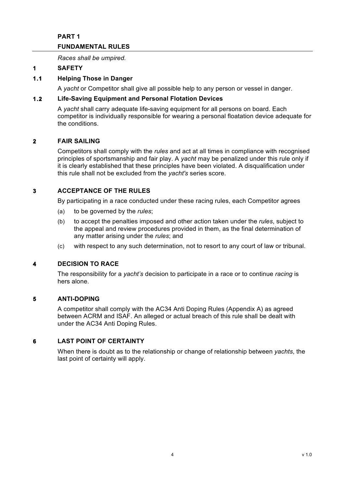# **PART 1 FUNDAMENTAL RULES**

*Races shall be umpired.*

# **1 SAFETY**

# **1.1 Helping Those in Danger**

A *yacht* or Competitor shall give all possible help to any person or vessel in danger.

## **1.2 Life-Saving Equipment and Personal Flotation Devices**

A *yacht* shall carry adequate life-saving equipment for all persons on board. Each competitor is individually responsible for wearing a personal floatation device adequate for the conditions.

## **2 FAIR SAILING**

Competitors shall comply with the *rules* and act at all times in compliance with recognised principles of sportsmanship and fair play. A *yacht* may be penalized under this rule only if it is clearly established that these principles have been violated. A disqualification under this rule shall not be excluded from the *yacht's* series score.

# **3 ACCEPTANCE OF THE RULES**

By participating in a race conducted under these racing rules, each Competitor agrees

- (a) to be governed by the *rules*;
- (b) to accept the penalties imposed and other action taken under the *rules*, subject to the appeal and review procedures provided in them, as the final determination of any matter arising under the *rules*; and
- (c) with respect to any such determination, not to resort to any court of law or tribunal.

#### **4 DECISION TO RACE**

The responsibility for a *yacht's* decision to participate in a race or to continue *racing* is hers alone.

#### **5 ANTI-DOPING**

A competitor shall comply with the AC34 Anti Doping Rules (Appendix A) as agreed between ACRM and ISAF. An alleged or actual breach of this rule shall be dealt with under the AC34 Anti Doping Rules.

## **6 LAST POINT OF CERTAINTY**

When there is doubt as to the relationship or change of relationship between *yachts*, the last point of certainty will apply.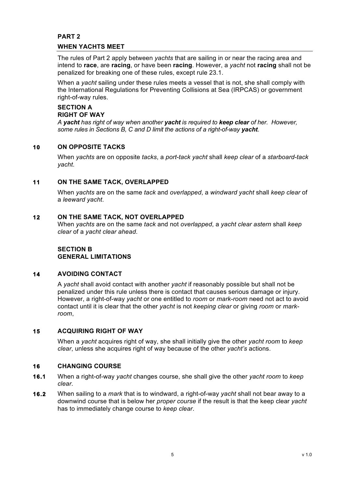# **PART 2 WHEN YACHTS MEET**

The rules of Part 2 apply between *yachts* that are sailing in or near the racing area and intend to **race**, are **racing**, or have been **racing**. However, a *yacht* not **racing** shall not be penalized for breaking one of these rules, except rule 23.1.

When a *yacht* sailing under these rules meets a vessel that is not, she shall comply with the International Regulations for Preventing Collisions at Sea (IRPCAS) or government right-of-way rules.

## **SECTION A RIGHT OF WAY**

*A yacht has right of way when another yacht is required to keep clear of her. However, some rules in Sections B, C and D limit the actions of a right-of-way yacht*.

# **10 ON OPPOSITE TACKS**

When *yachts* are on opposite *tacks*, a *port-tack yacht* shall *keep clear* of a *starboard-tack yacht*.

# **11 ON THE SAME TACK, OVERLAPPED**

When *yachts* are on the same *tack* and *overlapped*, a *windward yacht* shall *keep clear* of a *leeward yacht*.

# **12 ON THE SAME TACK, NOT OVERLAPPED**

When *yachts* are on the same *tack* and not *overlapped*, a *yacht clear astern* shall *keep clear* of a *yacht clear ahead*.

# **SECTION B GENERAL LIMITATIONS**

# **14 AVOIDING CONTACT**

A *yacht* shall avoid contact with another *yacht* if reasonably possible but shall not be penalized under this rule unless there is contact that causes serious damage or injury. However, a right-of-way *yacht* or one entitled to *room* or *mark-room* need not act to avoid contact until it is clear that the other *yacht* is not *keeping clear* or giving *room* or *markroom*,

# **15 ACQUIRING RIGHT OF WAY**

When a *yacht* acquires right of way, she shall initially give the other *yacht room* to *keep clear*, unless she acquires right of way because of the other *yacht's* actions.

# **16 CHANGING COURSE**

- **16.1** When a right-of-way *yacht* changes course, she shall give the other *yacht room* to *keep clear*.
- **16.2** When sailing to a *mark* that is to windward, a right-of-way *yacht* shall not bear away to a downwind course that is below her *proper course* if the result is that the keep clear *yacht* has to immediately change course to *keep clear*.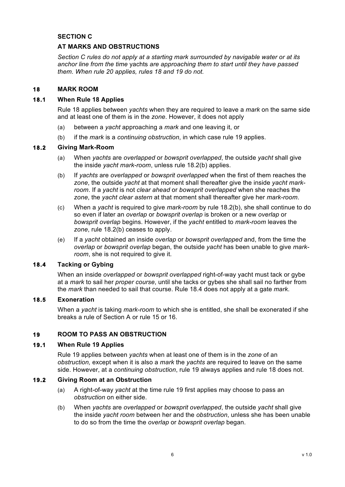## **SECTION C**

## **AT MARKS AND OBSTRUCTIONS**

*Section C rules do not apply at a starting mark surrounded by navigable water or at its anchor line from the time* yachts *are approaching them to start until they have passed them. When rule 20 applies, rules 18 and 19 do not.*

#### **18 MARK ROOM**

## **18.1 When Rule 18 Applies**

Rule 18 applies between *yachts* when they are required to leave a *mark* on the same side and at least one of them is in the *zone*. However, it does not apply

- (a) between a *yacht* approaching a *mark* and one leaving it, or
- (b) if the *mark* is a *continuing obstruction*, in which case rule 19 applies.

#### **18.2 Giving Mark-Room**

- (a) When *yachts* are *overlapped* or *bowsprit overlapped*, the outside *yacht* shall give the inside *yacht mark-room*, unless rule 18.2(b) applies.
- (b) If *yachts* are *overlapped* or *bowsprit overlapped* when the first of them reaches the *zone*, the outside *yacht* at that moment shall thereafter give the inside *yacht markroom*. If a *yacht* is not *clear ahead* or *bowsprit overlapped* when she reaches the *zone*, the *yacht clear astern* at that moment shall thereafter give her *mark-room*.
- (c) When a *yacht* is required to give *mark-room* by rule 18.2(b), she shall continue to do so even if later an *overlap* or *bowsprit overlap* is broken or a new *overlap* or *bowsprit overlap* begins. However, if the *yacht* entitled to *mark-room* leaves the *zone*, rule 18.2(b) ceases to apply.
- (e) If a *yacht* obtained an inside *overlap* or *bowsprit overlapped* and, from the time the *overlap* or *bowsprit overlap* began, the outside *yacht* has been unable to give *markroom*, she is not required to give it.

#### **18.4 Tacking or Gybing**

When an inside *overlapped* or *bowsprit overlapped* right-of-way yacht must tack or gybe at a *mark* to sail her *proper course*, until she tacks or gybes she shall sail no farther from the *mark* than needed to sail that course. Rule 18.4 does not apply at a gate *mark*.

#### **18.5 Exoneration**

When a *yacht* is taking *mark-room* to which she is entitled, she shall be exonerated if she breaks a rule of Section A or rule 15 or 16.

# **19 ROOM TO PASS AN OBSTRUCTION**

## **19.1 When Rule 19 Applies**

Rule 19 applies between *yachts* when at least one of them is in the *zone* of an *obstruction,* except when it is also a *mark* the *yachts* are required to leave on the same side. However, at a *continuing obstruction*, rule 19 always applies and rule 18 does not.

#### **19.2 Giving Room at an Obstruction**

- (a) A right-of-way *yacht* at the time rule 19 first applies may choose to pass an *obstruction* on either side.
- (b) When *yachts* are *overlapped* or *bowsprit overlapped*, the outside *yacht* shall give the inside *yacht room* between her and the *obstruction*, unless she has been unable to do so from the time the *overlap* or *bowsprit overlap* began.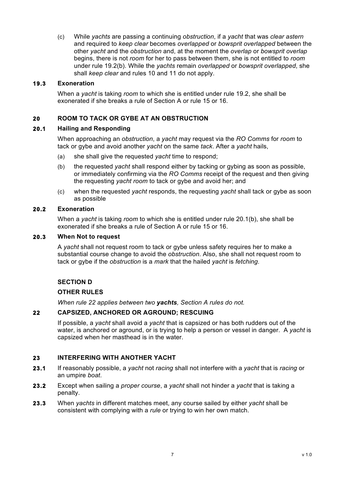(c) While *yachts* are passing a continuing *obstruction*, if a *yacht* that was *clear astern* and required to *keep clear* becomes *overlapped* or *bowsprit overlapped* between the other *yacht* and the *obstruction* and, at the moment the *overlap* or *bowsprit overlap* begins, there is not *room* for her to pass between them, she is not entitled to *room* under rule 19.2(b). While the *yachts* remain *overlapped* or *bowsprit overlapped*, she shall *keep clear* and rules 10 and 11 do not apply.

## **19.3 Exoneration**

When a *yacht* is taking *room* to which she is entitled under rule 19.2, she shall be exonerated if she breaks a rule of Section A or rule 15 or 16.

# **20 ROOM TO TACK OR GYBE AT AN OBSTRUCTION**

#### **20.1 Hailing and Responding**

When approaching an *obstruction*, a *yacht* may request via the *RO Comms* for *room* to tack or gybe and avoid another *yacht* on the same *tack*. After a *yacht* hails,

- (a) she shall give the requested *yacht* time to respond;
- (b) the requested *yacht* shall respond either by tacking or gybing as soon as possible, or immediately confirming via the *RO Comms* receipt of the request and then giving the requesting *yacht room* to tack or gybe and avoid her; and
- (c) when the requested *yacht* responds, the requesting *yacht* shall tack or gybe as soon as possible

#### **20.2 Exoneration**

When a *yacht* is taking *room* to which she is entitled under rule 20.1(b), she shall be exonerated if she breaks a rule of Section A or rule 15 or 16.

#### **20.3 When Not to request**

A *yacht* shall not request room to tack or gybe unless safety requires her to make a substantial course change to avoid the *obstruction*. Also, she shall not request room to tack or gybe if the *obstruction* is a *mark* that the hailed *yacht* is *fetching*.

# **SECTION D**

#### **OTHER RULES**

*When rule 22 applies between two yachts, Section A rules do not.*

#### **22 CAPSIZED, ANCHORED OR AGROUND; RESCUING**

If possible, a *yacht* shall avoid a *yacht* that is capsized or has both rudders out of the water, is anchored or aground, or is trying to help a person or vessel in danger. A *yacht* is capsized when her masthead is in the water.

#### **23 INTERFERING WITH ANOTHER YACHT**

- **23.1** If reasonably possible, a *yacht* not *racing* shall not interfere with a *yacht* that is *racing* or an umpire *boat*.
- **23.2** Except when sailing a *proper course*, a *yacht* shall not hinder a *yacht* that is taking a penalty.
- **23.3** When *yachts* in different matches meet, any course sailed by either *yacht* shall be consistent with complying with a *rule* or trying to win her own match.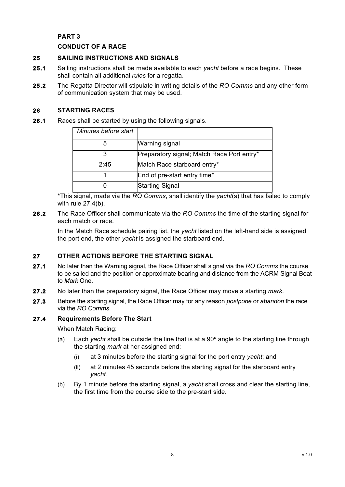## **PART 3**

## **CONDUCT OF A RACE**

## **25 SAILING INSTRUCTIONS AND SIGNALS**

- **25.1** Sailing instructions shall be made available to each *yacht* before a race begins. These shall contain all additional *rules* for a regatta.
- **25.2** The Regatta Director will stipulate in writing details of the *RO Comms* and any other form of communication system that may be used.

## **26 STARTING RACES**

**26.1** Races shall be started by using the following signals.

| Minutes before start |                                            |
|----------------------|--------------------------------------------|
| 5                    | Warning signal                             |
| 3                    | Preparatory signal; Match Race Port entry* |
| 2:45                 | Match Race starboard entry*                |
|                      | End of pre-start entry time*               |
|                      | <b>Starting Signal</b>                     |
|                      |                                            |

\*This signal, made via the *RO Comms*, shall identify the *yacht*(s) that has failed to comply with rule 27.4(b).

**26.2** The Race Officer shall communicate via the *RO Comms* the time of the starting signal for each match or race.

In the Match Race schedule pairing list, the *yacht* listed on the left-hand side is assigned the port end, the other *yacht* is assigned the starboard end.

#### **27 OTHER ACTIONS BEFORE THE STARTING SIGNAL**

- **27.1** No later than the Warning signal, the Race Officer shall signal via the *RO Comms* the course to be sailed and the position or approximate bearing and distance from the ACRM Signal Boat to *Mark* One.
- **27.2** No later than the preparatory signal, the Race Officer may move a starting *mark*.
- **27.3** Before the starting signal, the Race Officer may for any reason *postpone* or *abandon* the race via the *RO Comms*.

## **27.4 Requirements Before The Start**

When Match Racing:

- (a) Each *yacht* shall be outside the line that is at a 90º angle to the starting line through the starting *mark* at her assigned end:
	- (i) at 3 minutes before the starting signal for the port entry *yacht*; and
	- (ii) at 2 minutes 45 seconds before the starting signal for the starboard entry *yacht*.
- (b) By 1 minute before the starting signal, a *yacht* shall cross and clear the starting line, the first time from the course side to the pre-start side.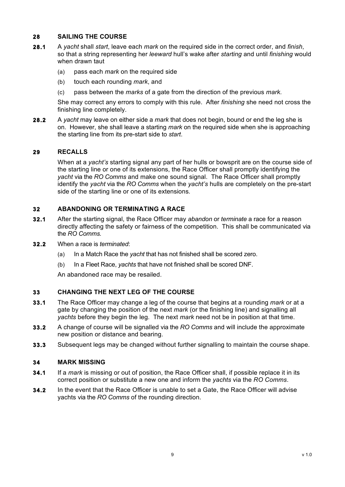# **28 SAILING THE COURSE**

- **28.1** A *yacht* shall *start*, leave each *mark* on the required side in the correct order, and *finish*, so that a string representing her *leeward* hull's wake after *starting* and until *finishing* would when drawn taut
	- (a) pass each *mark* on the required side
	- (b) touch each rounding *mark*, and
	- (c) pass between the *marks* of a gate from the direction of the previous *mark.*

She may correct any errors to comply with this rule. After *finishing* she need not cross the finishing line completely.

**28.2** A *yacht* may leave on either side a *mark* that does not begin, bound or end the leg she is on. However, she shall leave a starting *mark* on the required side when she is approaching the starting line from its pre-start side to *start*.

#### **29 RECALLS**

When at a *vacht's* starting signal any part of her hulls or bowsprit are on the course side of the starting line or one of its extensions, the Race Officer shall promptly identifying the *yacht* via the *RO Comms* and make one sound signal. The Race Officer shall promptly identify the *yacht* via the *RO Comms* when the *yacht's* hulls are completely on the pre-start side of the starting line or one of its extensions*.*

#### **32 ABANDONING OR TERMINATING A RACE**

- **32.1** After the starting signal, the Race Officer may *abandon* or *terminate* a race for a reason directly affecting the safety or fairness of the competition. This shall be communicated via the *RO Comms.*
- **32.2** When a race is *terminated*:
	- (a) In a Match Race the *yacht* that has not finished shall be scored zero.
	- (b) In a Fleet Race, *yachts* that have not finished shall be scored DNF.

An abandoned race may be resailed.

#### **33 CHANGING THE NEXT LEG OF THE COURSE**

- **33.1** The Race Officer may change a leg of the course that begins at a rounding *mark* or at a gate by changing the position of the next *mark* (or the finishing line) and signalling all *yachts* before they begin the leg. The next *mark* need not be in position at that time.
- **33.2** A change of course will be signalled via the *RO Comms* and will include the approximate new position or distance and bearing.
- **33.3** Subsequent legs may be changed without further signalling to maintain the course shape.

#### **34 MARK MISSING**

- **34.1** If a *mark* is missing or out of position, the Race Officer shall, if possible replace it in its correct position or substitute a new one and inform the *yachts* via the *RO Comms*.
- **34.2** In the event that the Race Officer is unable to set a Gate, the Race Officer will advise yachts via the *RO Comms* of the rounding direction.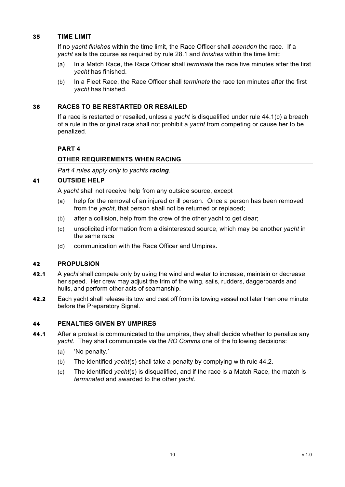## **35 TIME LIMIT**

If no *yacht finishes* within the time limit, the Race Officer shall *abandon* the race. If a *yacht* sails the course as required by rule 28.1 and *finishes* within the time limit:

- (a) In a Match Race, the Race Officer shall *terminate* the race five minutes after the first *yacht* has finished.
- (b) In a Fleet Race, the Race Officer shall *terminate* the race ten minutes after the first *yacht* has finished.

## **36 RACES TO BE RESTARTED OR RESAILED**

If a race is restarted or resailed, unless a *yacht* is disqualified under rule 44.1(c) a breach of a rule in the original race shall not prohibit a *yacht* from competing or cause her to be penalized.

# **PART 4**

# **OTHER REQUIREMENTS WHEN RACING**

*Part 4 rules apply only to yachts racing*.

#### **41 OUTSIDE HELP**

A *yacht* shall not receive help from any outside source, except

- (a) help for the removal of an injured or ill person. Once a person has been removed from the *yacht*, that person shall not be returned or replaced;
- (b) after a collision, help from the crew of the other yacht to get clear;
- (c) unsolicited information from a disinterested source, which may be another *yacht* in the same race
- (d) communication with the Race Officer and Umpires.

#### **42 PROPULSION**

- **42.1** A *yacht* shall compete only by using the wind and water to increase, maintain or decrease her speed. Her crew may adjust the trim of the wing, sails, rudders, daggerboards and hulls, and perform other acts of seamanship.
- **42.2** Each yacht shall release its tow and cast off from its towing vessel not later than one minute before the Preparatory Signal.

# **44 PENALTIES GIVEN BY UMPIRES**

- **44.1** After a protest is communicated to the umpires, they shall decide whether to penalize any *yacht*. They shall communicate via the *RO Comms* one of the following decisions:
	- (a) 'No penalty.'
	- (b) The identified *yacht*(s) shall take a penalty by complying with rule 44.2.
	- (c) The identified *yacht*(s) is disqualified, and if the race is a Match Race, the match is *terminated* and awarded to the other *yacht*.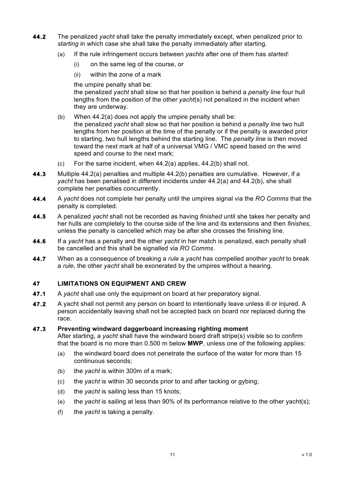- **44.2** The penalized *yacht* shall take the penalty immediately except, when penalized prior to *starting* in which case she shall take the penalty immediately after starting.
	- (a) If the rule infringement occurs between *yachts* after one of them has *started*:
		- (i) on the same leg of the course, or
		- (ii) within the zone of a mark

the umpire penalty shall be:

the penalized *yacht* shall slow so that her position is behind a *penalty line* four hull lengths from the position of the other *yacht*(s) not penalized in the incident when they are underway.

- (b) When 44.2(a) does not apply the umpire penalty shall be: the penalized *yacht* shall slow so that her position is behind a *penalty line* two hull lengths from her position at the time of the penalty or if the penalty is awarded prior to starting, two hull lengths behind the starting line. The *penalty line* is then moved toward the next mark at half of a universal VMG / VMC speed based on the wind speed and course to the next mark;
- (c) For the same incident, when 44.2(a) applies, 44.2(b) shall not.
- **44.3** Multiple 44.2(a) penalties and multiple 44.2(b) penalties are cumulative. However, if a *yacht* has been penalised in different incidents under 44.2(a) and 44.2(b), she shall complete her penalties concurrently.
- **44.4** A *yacht* does not complete her penalty until the umpires signal via the *RO Comms* that the penalty is completed.
- **44.5** A penalized *yacht* shall not be recorded as having *finished* until she takes her penalty and her hulls are completely to the course side of the line and its extensions and then *finishes*, unless the penalty is cancelled which may be after she crosses the finishing line.
- **44.6** If a *yacht* has a penalty and the other *yacht* in her match is penalized, each penalty shall be cancelled and this shall be signalled via *RO Comms*.
- **44.7** When as a consequence of breaking a *rule* a *yacht* has compelled another *yacht* to break a *rule*, the other *yacht* shall be exonerated by the umpires without a hearing.

# **47 LIMITATIONS ON EQUIPMENT AND CREW**

- **47.1** A *yacht* shall use only the equipment on board at her preparatory signal.
- **47.2** A yacht shall not permit any person on board to intentionally leave unless ill or injured. A person accidentally leaving shall not be accepted back on board nor replaced during the race.

#### **47.3 Preventing windward daggerboard increasing righting moment** After starting, a *yacht* shall have the windward board draft stripe(s) visible so to confirm that the board is no more than 0.500 m below **MWP**, unless one of the following applies:

- (a) the windward board does not penetrate the surface of the water for more than 15 continuous seconds;
- (b) the *yacht* is within 300m of a mark;
- (c) the *yacht* is within 30 seconds prior to and after tacking or gybing;
- (d) the *yacht* is sailing less than 15 knots;
- (e) the *yacht* is sailing at less than 90% of its performance relative to the other yacht(s);
- (f) the *yacht* is taking a penalty.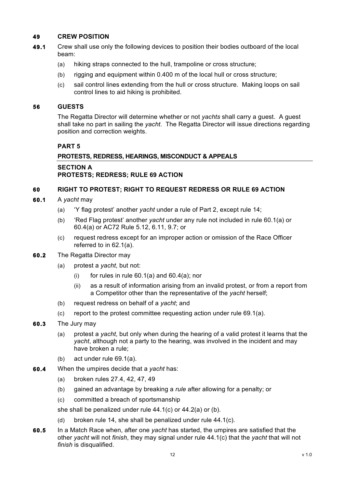## **49 CREW POSITION**

- **49.1** Crew shall use only the following devices to position their bodies outboard of the local beam:
	- (a) hiking straps connected to the hull, trampoline or cross structure;
	- (b) rigging and equipment within 0.400 m of the local hull or cross structure;
	- (c) sail control lines extending from the hull or cross structure. Making loops on sail control lines to aid hiking is prohibited.

#### **56 GUESTS**

The Regatta Director will determine whether or not *yachts* shall carry a guest. A guest shall take no part in sailing the *yacht*. The Regatta Director will issue directions regarding position and correction weights.

#### **PART 5**

#### **PROTESTS, REDRESS, HEARINGS, MISCONDUCT & APPEALS**

**SECTION A PROTESTS; REDRESS; RULE 69 ACTION**

#### **60 RIGHT TO PROTEST; RIGHT TO REQUEST REDRESS OR RULE 69 ACTION**

- **60.1** A *yacht* may
	- (a) 'Y flag protest' another *yacht* under a rule of Part 2, except rule 14;
	- (b) 'Red Flag protest' another *yacht* under any rule not included in rule 60.1(a) or 60.4(a) or AC72 Rule 5.12, 6.11, 9.7; or
	- (c) request redress except for an improper action or omission of the Race Officer referred to in 62.1(a).
- **60.2** The Regatta Director may
	- (a) protest a *yacht*, but not:
		- (i) for rules in rule  $60.1(a)$  and  $60.4(a)$ ; nor
		- (ii) as a result of information arising from an invalid protest, or from a report from a Competitor other than the representative of the *yacht* herself;
	- (b) request redress on behalf of a *yacht*; and
	- (c) report to the protest committee requesting action under rule 69.1(a).
- **60.3** The Jury may
	- (a) protest a *yacht*, but only when during the hearing of a valid protest it learns that the *yacht*, although not a party to the hearing, was involved in the incident and may have broken a rule;
	- (b) act under rule 69.1(a).
- **60.4** When the umpires decide that a *yacht* has:
	- (a) broken rules 27.4, 42, 47, 49
	- (b) gained an advantage by breaking a *rule* after allowing for a penalty; or
	- (c) committed a breach of sportsmanship

she shall be penalized under rule 44.1(c) or 44.2(a) or (b).

- (d) broken rule 14, she shall be penalized under rule 44.1(c).
- **60.5** In a Match Race when, after one *yacht* has started, the umpires are satisfied that the other *yacht* will not *finish*, they may signal under rule 44.1(c) that the *yacht* that will not *finish* is disqualified.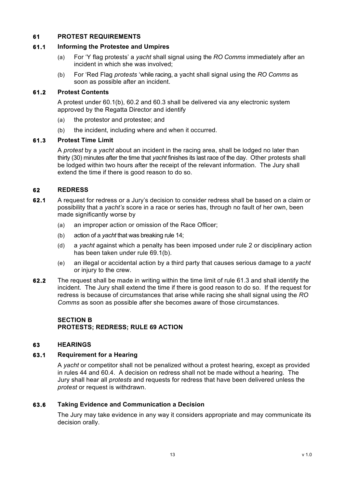## **61 PROTEST REQUIREMENTS**

## **61.1 Informing the Protestee and Umpires**

- (a) For 'Y flag protests' a *yacht* shall signal using the *RO Comms* immediately after an incident in which she was involved;
- (b) For 'Red Flag *protests* 'while racing, a yacht shall signal using the *RO Comms* as soon as possible after an incident.

## **61.2 Protest Contents**

A protest under 60.1(b), 60.2 and 60.3 shall be delivered via any electronic system approved by the Regatta Director and identify

- (a) the protestor and protestee; and
- (b) the incident, including where and when it occurred.

#### **61.3 Protest Time Limit**

A *protest* by a *yacht* about an incident in the racing area, shall be lodged no later than thirty (30) minutes after the time that *yacht* finishes its last race of the day. Other protests shall be lodged within two hours after the receipt of the relevant information. The Jury shall extend the time if there is good reason to do so.

## **62 REDRESS**

- **62.1** A request for redress or a Jury's decision to consider redress shall be based on a claim or possibility that a *yacht's* score in a race or series has, through no fault of her own, been made significantly worse by
	- (a) an improper action or omission of the Race Officer;
	- (b) action of a *yacht* that was breaking rule 14;
	- (d) a *yacht* against which a penalty has been imposed under rule 2 or disciplinary action has been taken under rule 69.1(b).
	- (e) an illegal or accidental action by a third party that causes serious damage to a *yacht* or injury to the crew.
- **62.2** The request shall be made in writing within the time limit of rule 61.3 and shall identify the incident. The Jury shall extend the time if there is good reason to do so. If the request for redress is because of circumstances that arise while racing she shall signal using the *RO Comms* as soon as possible after she becomes aware of those circumstances.

## **SECTION B PROTESTS; REDRESS; RULE 69 ACTION**

#### **63 HEARINGS**

#### **63.1 Requirement for a Hearing**

A *yacht* or competitor shall not be penalized without a protest hearing, except as provided in rules 44 and 60.4. A decision on redress shall not be made without a hearing. The Jury shall hear all *protests* and requests for redress that have been delivered unless the *protest* or request is withdrawn.

#### **63.6 Taking Evidence and Communication a Decision**

The Jury may take evidence in any way it considers appropriate and may communicate its decision orally.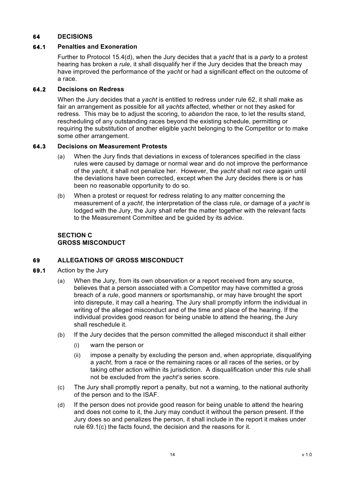## **64 DECISIONS**

#### **64.1 Penalties and Exoneration**

Further to Protocol 15.4(d), when the Jury decides that a *yacht* that is a *party* to a protest hearing has broken a *rule*, it shall disqualify her if the Jury decides that the breach may have improved the performance of the *yacht* or had a significant effect on the outcome of a race.

## **64.2 Decisions on Redress**

When the Jury decides that a *yacht* is entitled to redress under rule 62, it shall make as fair an arrangement as possible for all *yachts* affected, whether or not they asked for redress. This may be to adjust the scoring, to *abandon* the race, to let the results stand, rescheduling of any outstanding races beyond the existing schedule, permitting or requiring the substitution of another eligible yacht belonging to the Competitor or to make some other arrangement.

#### **64.3 Decisions on Measurement Protests**

- (a) When the Jury finds that deviations in excess of tolerances specified in the class rules were caused by damage or normal wear and do not improve the performance of the *yacht*, it shall not penalize her. However, the *yacht* shall not *race* again until the deviations have been corrected, except when the Jury decides there is or has been no reasonable opportunity to do so.
- (b) When a protest or request for redress relating to any matter concerning the measurement of a *yacht*, the interpretation of the class rule, or damage of a *yacht* is lodged with the Jury, the Jury shall refer the matter together with the relevant facts to the Measurement Committee and be guided by its advice.

## **SECTION C GROSS MISCONDUCT**

# **69 ALLEGATIONS OF GROSS MISCONDUCT**

- **69.1** Action by the Jury
	- (a) When the Jury, from its own observation or a report received from any source, believes that a person associated with a Competitor may have committed a gross breach of a *rule*, good manners or sportsmanship, or may have brought the sport into disrepute, it may call a hearing. The Jury shall promptly inform the individual in writing of the alleged misconduct and of the time and place of the hearing. If the individual provides good reason for being unable to attend the hearing, the Jury shall reschedule it.
	- (b) If the Jury decides that the person committed the alleged misconduct it shall either
		- (i) warn the person or
		- (ii) impose a penalty by excluding the person and, when appropriate, disqualifying a *yacht*, from a race or the remaining races or all races of the series, or by taking other action within its jurisdiction. A disqualification under this rule shall not be excluded from the *yacht's* series score.
	- (c) The Jury shall promptly report a penalty, but not a warning, to the national authority of the person and to the ISAF.
	- (d) If the person does not provide good reason for being unable to attend the hearing and does not come to it, the Jury may conduct it without the person present. If the Jury does so and penalizes the person, it shall include in the report it makes under rule 69.1(c) the facts found, the decision and the reasons for it.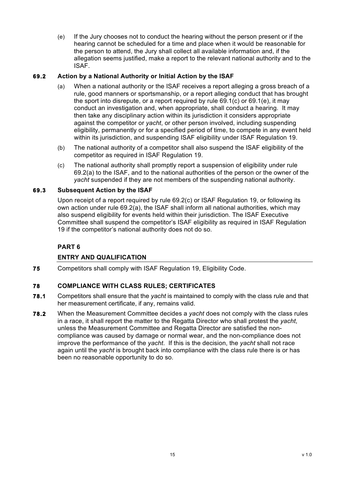(e) If the Jury chooses not to conduct the hearing without the person present or if the hearing cannot be scheduled for a time and place when it would be reasonable for the person to attend, the Jury shall collect all available information and, if the allegation seems justified, make a report to the relevant national authority and to the ISAF.

## **69.2 Action by a National Authority or Initial Action by the ISAF**

- (a) When a national authority or the ISAF receives a report alleging a gross breach of a rule, good manners or sportsmanship, or a report alleging conduct that has brought the sport into disrepute, or a report required by rule 69.1(c) or 69.1(e), it may conduct an investigation and, when appropriate, shall conduct a hearing. It may then take any disciplinary action within its jurisdiction it considers appropriate against the competitor or *yacht*, or other person involved, including suspending eligibility, permanently or for a specified period of time, to compete in any event held within its jurisdiction, and suspending ISAF eligibility under ISAF Regulation 19.
- (b) The national authority of a competitor shall also suspend the ISAF eligibility of the competitor as required in ISAF Regulation 19.
- (c) The national authority shall promptly report a suspension of eligibility under rule 69.2(a) to the ISAF, and to the national authorities of the person or the owner of the *yacht* suspended if they are not members of the suspending national authority.

#### **69.3 Subsequent Action by the ISAF**

Upon receipt of a report required by rule 69.2(c) or ISAF Regulation 19, or following its own action under rule 69.2(a), the ISAF shall inform all national authorities, which may also suspend eligibility for events held within their jurisdiction. The ISAF Executive Committee shall suspend the competitor's ISAF eligibility as required in ISAF Regulation 19 if the competitor's national authority does not do so.

# **PART 6**

# **ENTRY AND QUALIFICATION**

**75** Competitors shall comply with ISAF Regulation 19, Eligibility Code.

#### **78 COMPLIANCE WITH CLASS RULES; CERTIFICATES**

- **78.1** Competitors shall ensure that the *yacht* is maintained to comply with the class rule and that her measurement certificate, if any, remains valid.
- **78.2** When the Measurement Committee decides a *yacht* does not comply with the class rules in a race, it shall report the matter to the Regatta Director who shall protest the *yacht*, unless the Measurement Committee and Regatta Director are satisfied the noncompliance was caused by damage or normal wear, and the non-compliance does not improve the performance of the *yacht*. If this is the decision, the *yacht* shall not race again until the *yacht* is brought back into compliance with the class rule there is or has been no reasonable opportunity to do so.